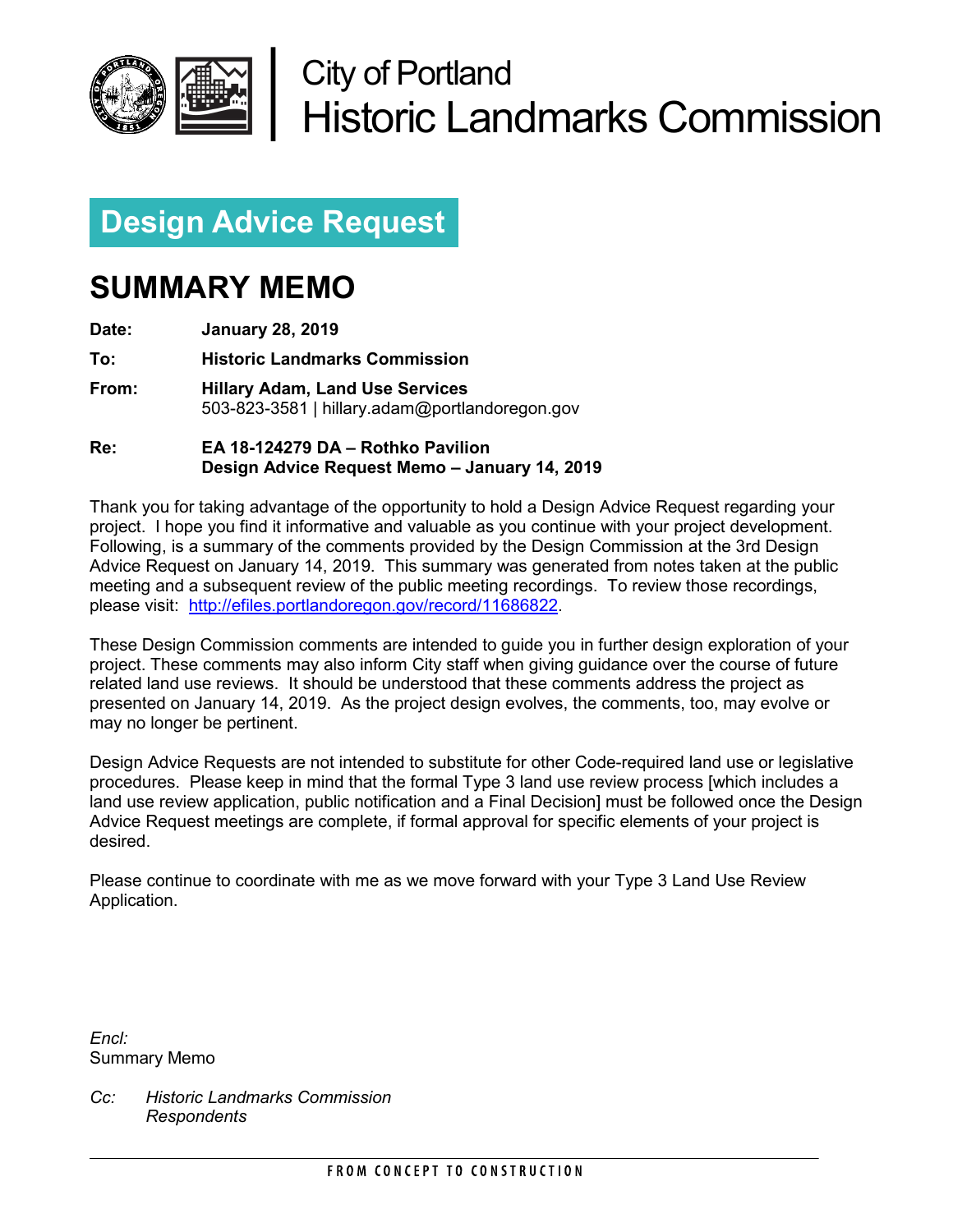

# City of Portland Historic Landmarks Commission

# **Design Advice Request**

# **SUMMARY MEMO**

**Date: January 28, 2019**

**To: Historic Landmarks Commission**

**From: Hillary Adam, Land Use Services** 503-823-3581 | hillary.adam@portlandoregon.gov

**Re: EA 18-124279 DA – Rothko Pavilion Design Advice Request Memo – January 14, 2019**

Thank you for taking advantage of the opportunity to hold a Design Advice Request regarding your project. I hope you find it informative and valuable as you continue with your project development. Following, is a summary of the comments provided by the Design Commission at the 3rd Design Advice Request on January 14, 2019. This summary was generated from notes taken at the public meeting and a subsequent review of the public meeting recordings. To review those recordings, please visit: [http://efiles.portlandoregon.gov/record/11686822.](http://efiles.portlandoregon.gov/record/11686822)

These Design Commission comments are intended to guide you in further design exploration of your project. These comments may also inform City staff when giving guidance over the course of future related land use reviews. It should be understood that these comments address the project as presented on January 14, 2019. As the project design evolves, the comments, too, may evolve or may no longer be pertinent.

Design Advice Requests are not intended to substitute for other Code-required land use or legislative procedures. Please keep in mind that the formal Type 3 land use review process [which includes a land use review application, public notification and a Final Decision] must be followed once the Design Advice Request meetings are complete, if formal approval for specific elements of your project is desired.

Please continue to coordinate with me as we move forward with your Type 3 Land Use Review Application.

*Encl:*  Summary Memo

*Cc: Historic Landmarks Commission Respondents*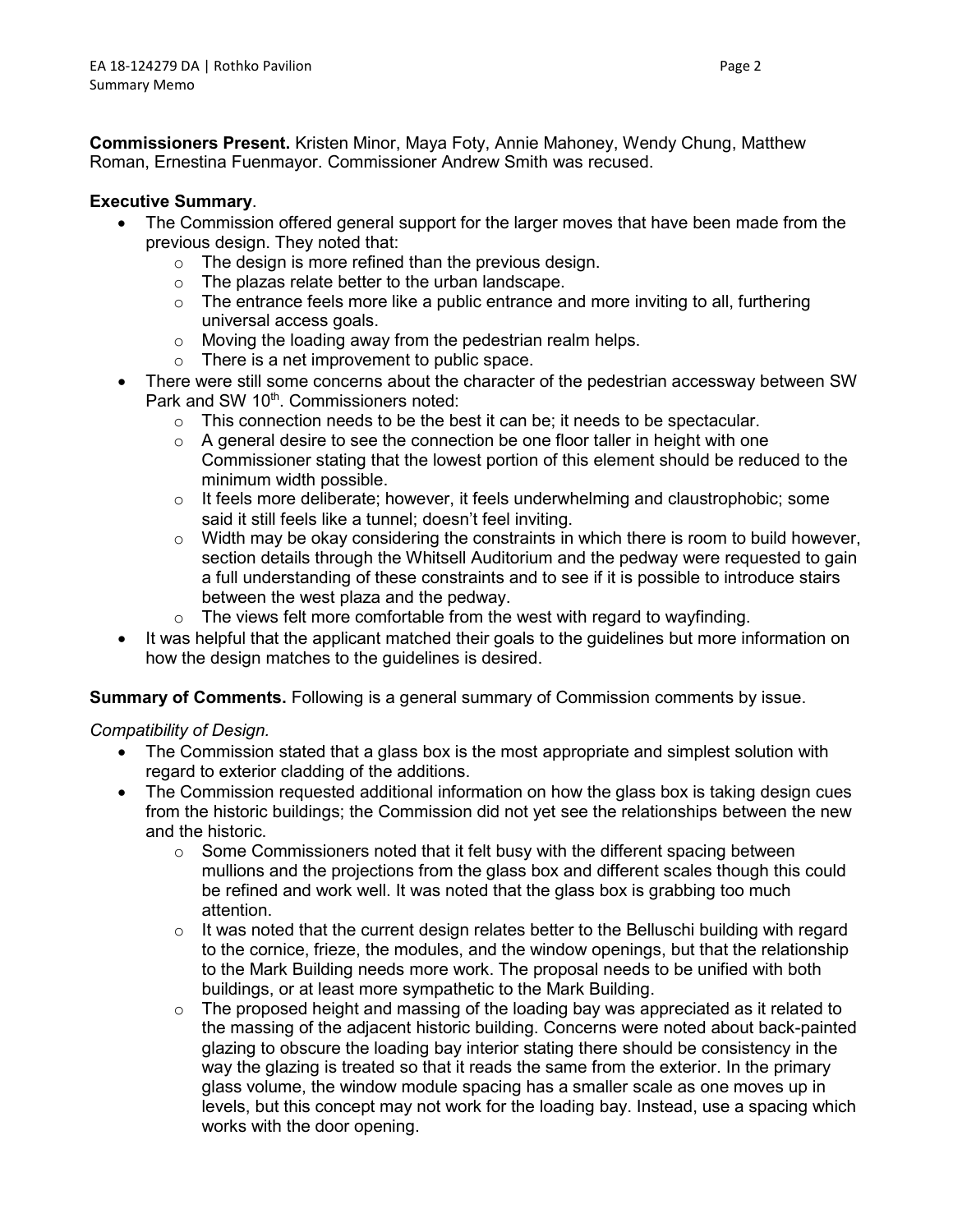**Commissioners Present.** Kristen Minor, Maya Foty, Annie Mahoney, Wendy Chung, Matthew Roman, Ernestina Fuenmayor. Commissioner Andrew Smith was recused.

# **Executive Summary**.

- The Commission offered general support for the larger moves that have been made from the previous design. They noted that:
	- o The design is more refined than the previous design.
	- o The plazas relate better to the urban landscape.
	- $\circ$  The entrance feels more like a public entrance and more inviting to all, furthering universal access goals.
	- o Moving the loading away from the pedestrian realm helps.
	- o There is a net improvement to public space.
- There were still some concerns about the character of the pedestrian accessway between SW Park and SW 10<sup>th</sup>. Commissioners noted:
	- $\circ$  This connection needs to be the best it can be; it needs to be spectacular.
	- $\circ$  A general desire to see the connection be one floor taller in height with one Commissioner stating that the lowest portion of this element should be reduced to the minimum width possible.
	- $\circ$  It feels more deliberate; however, it feels underwhelming and claustrophobic; some said it still feels like a tunnel; doesn't feel inviting.
	- o Width may be okay considering the constraints in which there is room to build however, section details through the Whitsell Auditorium and the pedway were requested to gain a full understanding of these constraints and to see if it is possible to introduce stairs between the west plaza and the pedway.
	- $\circ$  The views felt more comfortable from the west with regard to wayfinding.
- It was helpful that the applicant matched their goals to the guidelines but more information on how the design matches to the guidelines is desired.

# **Summary of Comments.** Following is a general summary of Commission comments by issue.

*Compatibility of Design.*

- The Commission stated that a glass box is the most appropriate and simplest solution with regard to exterior cladding of the additions.
- The Commission requested additional information on how the glass box is taking design cues from the historic buildings; the Commission did not yet see the relationships between the new and the historic.
	- $\circ$  Some Commissioners noted that it felt busy with the different spacing between mullions and the projections from the glass box and different scales though this could be refined and work well. It was noted that the glass box is grabbing too much attention.
	- $\circ$  It was noted that the current design relates better to the Belluschi building with regard to the cornice, frieze, the modules, and the window openings, but that the relationship to the Mark Building needs more work. The proposal needs to be unified with both buildings, or at least more sympathetic to the Mark Building.
	- $\circ$  The proposed height and massing of the loading bay was appreciated as it related to the massing of the adjacent historic building. Concerns were noted about back-painted glazing to obscure the loading bay interior stating there should be consistency in the way the glazing is treated so that it reads the same from the exterior. In the primary glass volume, the window module spacing has a smaller scale as one moves up in levels, but this concept may not work for the loading bay. Instead, use a spacing which works with the door opening.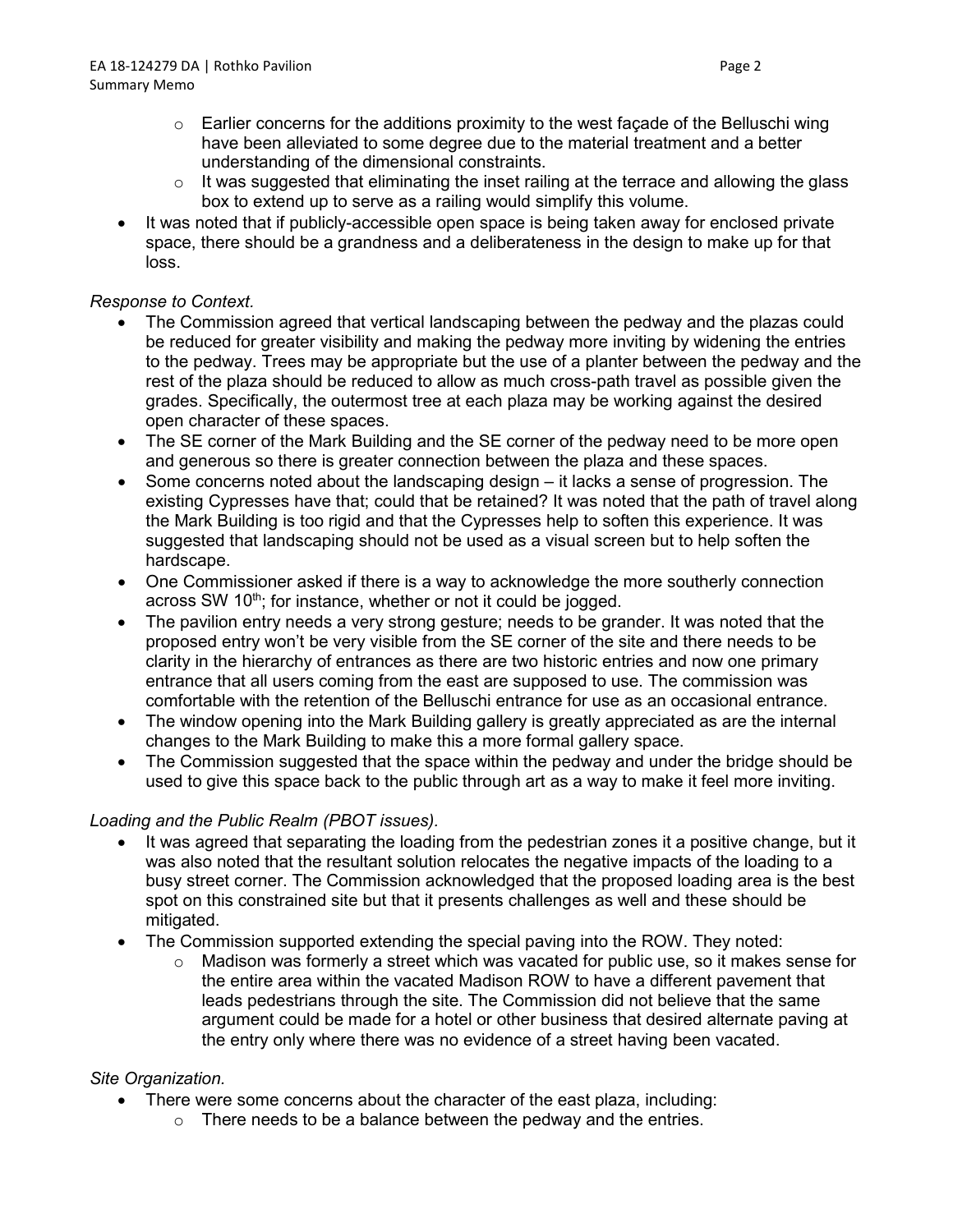- $\circ$  Earlier concerns for the additions proximity to the west façade of the Belluschi wing have been alleviated to some degree due to the material treatment and a better understanding of the dimensional constraints.
- $\circ$  It was suggested that eliminating the inset railing at the terrace and allowing the glass box to extend up to serve as a railing would simplify this volume.
- It was noted that if publicly-accessible open space is being taken away for enclosed private space, there should be a grandness and a deliberateness in the design to make up for that loss.

### *Response to Context.*

- The Commission agreed that vertical landscaping between the pedway and the plazas could be reduced for greater visibility and making the pedway more inviting by widening the entries to the pedway. Trees may be appropriate but the use of a planter between the pedway and the rest of the plaza should be reduced to allow as much cross-path travel as possible given the grades. Specifically, the outermost tree at each plaza may be working against the desired open character of these spaces.
- The SE corner of the Mark Building and the SE corner of the pedway need to be more open and generous so there is greater connection between the plaza and these spaces.
- Some concerns noted about the landscaping design it lacks a sense of progression. The existing Cypresses have that; could that be retained? It was noted that the path of travel along the Mark Building is too rigid and that the Cypresses help to soften this experience. It was suggested that landscaping should not be used as a visual screen but to help soften the hardscape.
- One Commissioner asked if there is a way to acknowledge the more southerly connection across SW 10<sup>th</sup>; for instance, whether or not it could be jogged.
- The pavilion entry needs a very strong gesture; needs to be grander. It was noted that the proposed entry won't be very visible from the SE corner of the site and there needs to be clarity in the hierarchy of entrances as there are two historic entries and now one primary entrance that all users coming from the east are supposed to use. The commission was comfortable with the retention of the Belluschi entrance for use as an occasional entrance.
- The window opening into the Mark Building gallery is greatly appreciated as are the internal changes to the Mark Building to make this a more formal gallery space.
- The Commission suggested that the space within the pedway and under the bridge should be used to give this space back to the public through art as a way to make it feel more inviting.

# *Loading and the Public Realm (PBOT issues).*

- It was agreed that separating the loading from the pedestrian zones it a positive change, but it was also noted that the resultant solution relocates the negative impacts of the loading to a busy street corner. The Commission acknowledged that the proposed loading area is the best spot on this constrained site but that it presents challenges as well and these should be mitigated.
- The Commission supported extending the special paving into the ROW. They noted:
	- $\circ$  Madison was formerly a street which was vacated for public use, so it makes sense for the entire area within the vacated Madison ROW to have a different pavement that leads pedestrians through the site. The Commission did not believe that the same argument could be made for a hotel or other business that desired alternate paving at the entry only where there was no evidence of a street having been vacated.

### *Site Organization.*

- There were some concerns about the character of the east plaza, including:
	- $\circ$  There needs to be a balance between the pedway and the entries.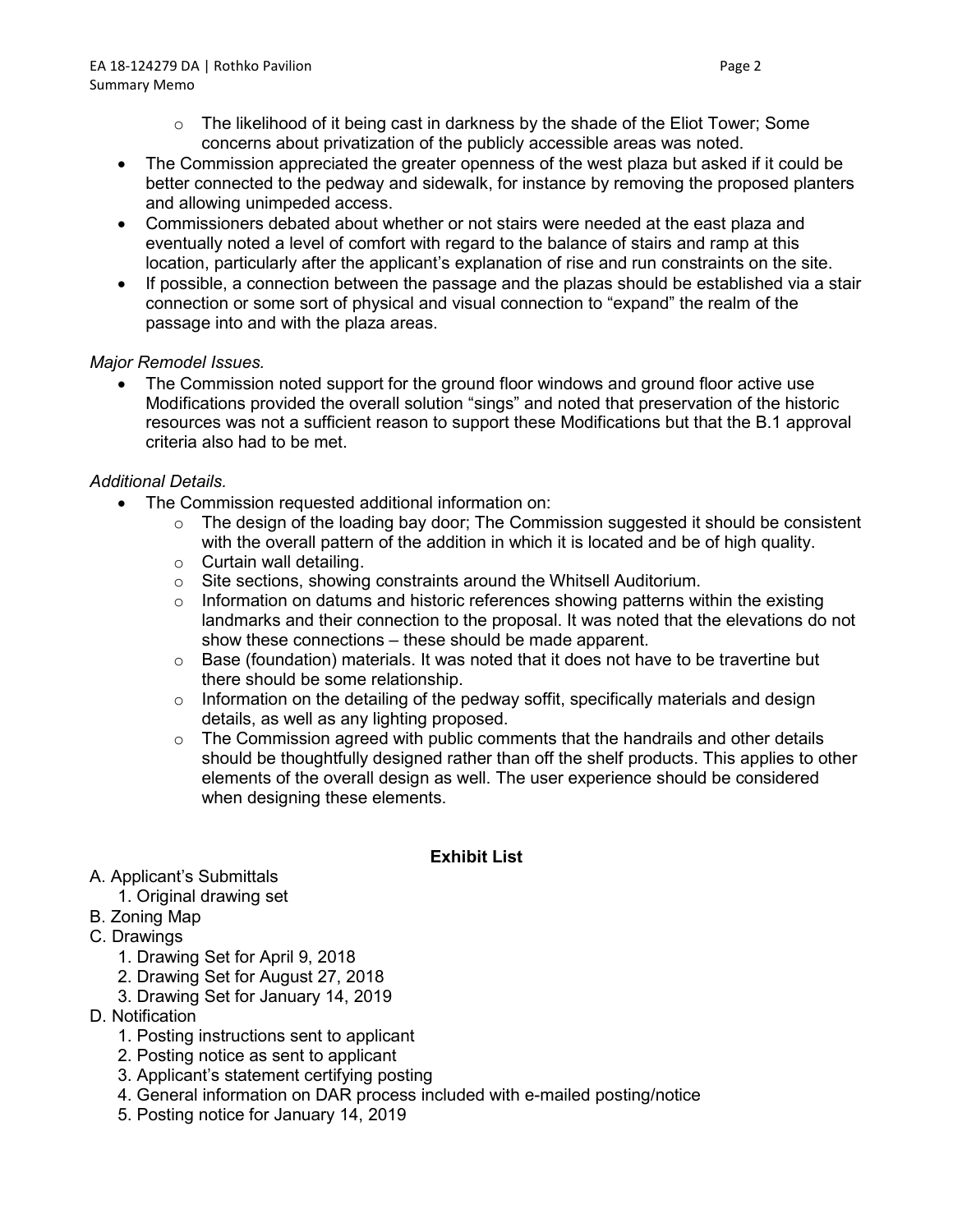- $\circ$  The likelihood of it being cast in darkness by the shade of the Eliot Tower; Some concerns about privatization of the publicly accessible areas was noted.
- The Commission appreciated the greater openness of the west plaza but asked if it could be better connected to the pedway and sidewalk, for instance by removing the proposed planters and allowing unimpeded access.
- Commissioners debated about whether or not stairs were needed at the east plaza and eventually noted a level of comfort with regard to the balance of stairs and ramp at this location, particularly after the applicant's explanation of rise and run constraints on the site.
- If possible, a connection between the passage and the plazas should be established via a stair connection or some sort of physical and visual connection to "expand" the realm of the passage into and with the plaza areas.

# *Major Remodel Issues.*

• The Commission noted support for the ground floor windows and ground floor active use Modifications provided the overall solution "sings" and noted that preservation of the historic resources was not a sufficient reason to support these Modifications but that the B.1 approval criteria also had to be met.

# *Additional Details.*

- The Commission requested additional information on:
	- $\circ$  The design of the loading bay door; The Commission suggested it should be consistent with the overall pattern of the addition in which it is located and be of high quality.
	- $\circ$  Curtain wall detailing.
	- o Site sections, showing constraints around the Whitsell Auditorium.
	- $\circ$  Information on datums and historic references showing patterns within the existing landmarks and their connection to the proposal. It was noted that the elevations do not show these connections – these should be made apparent.
	- o Base (foundation) materials. It was noted that it does not have to be travertine but there should be some relationship.
	- $\circ$  Information on the detailing of the pedway soffit, specifically materials and design details, as well as any lighting proposed.
	- $\circ$  The Commission agreed with public comments that the handrails and other details should be thoughtfully designed rather than off the shelf products. This applies to other elements of the overall design as well. The user experience should be considered when designing these elements.

### **Exhibit List**

- A. Applicant's Submittals
	- 1. Original drawing set
- B. Zoning Map
- C. Drawings
	- 1. Drawing Set for April 9, 2018
	- 2. Drawing Set for August 27, 2018
	- 3. Drawing Set for January 14, 2019
- D. Notification
	- 1. Posting instructions sent to applicant
	- 2. Posting notice as sent to applicant
	- 3. Applicant's statement certifying posting
	- 4. General information on DAR process included with e-mailed posting/notice
	- 5. Posting notice for January 14, 2019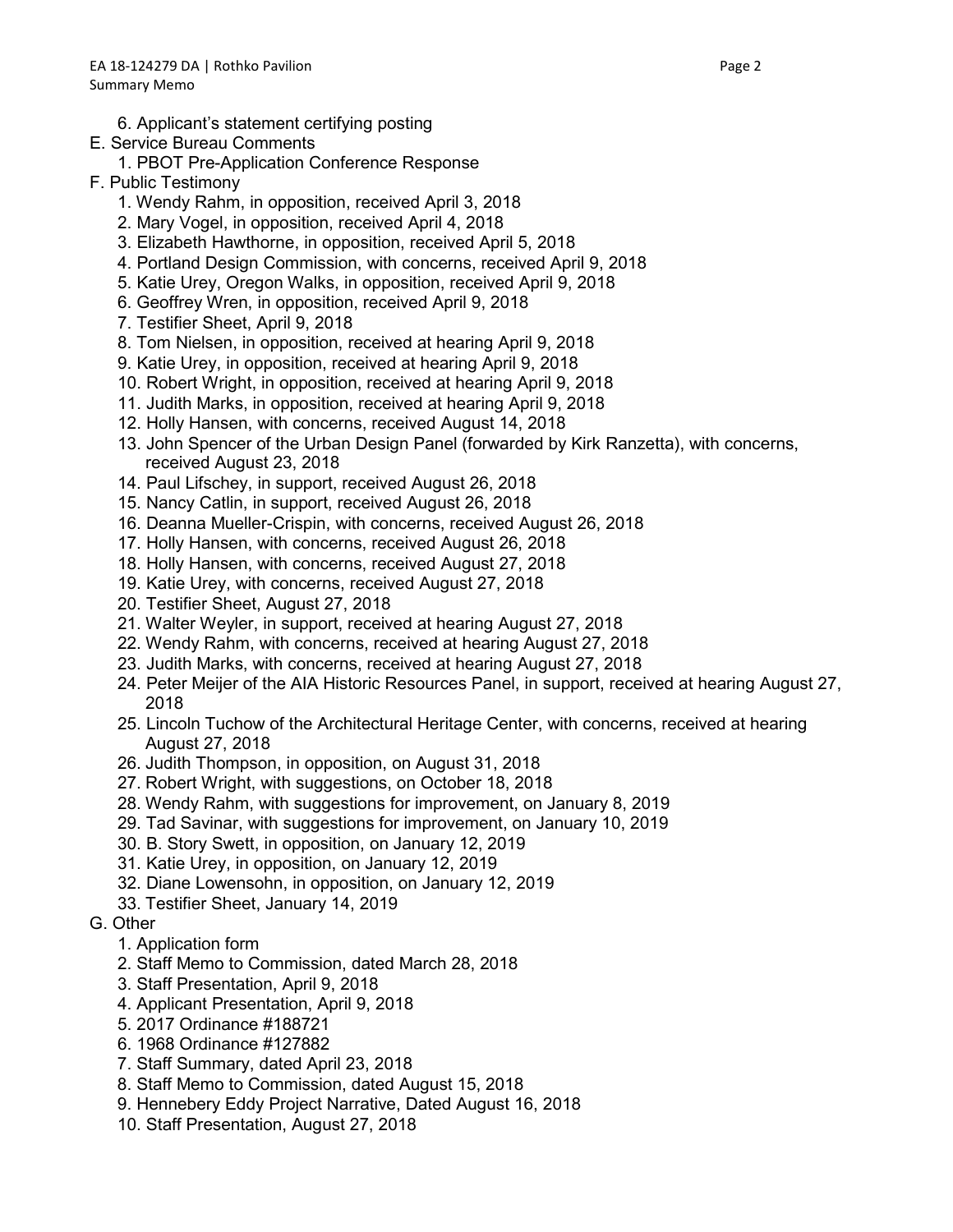6. Applicant's statement certifying posting

### E. Service Bureau Comments

- 1. PBOT Pre-Application Conference Response
- F. Public Testimony
	- 1. Wendy Rahm, in opposition, received April 3, 2018
	- 2. Mary Vogel, in opposition, received April 4, 2018
	- 3. Elizabeth Hawthorne, in opposition, received April 5, 2018
	- 4. Portland Design Commission, with concerns, received April 9, 2018
	- 5. Katie Urey, Oregon Walks, in opposition, received April 9, 2018
	- 6. Geoffrey Wren, in opposition, received April 9, 2018
	- 7. Testifier Sheet, April 9, 2018
	- 8. Tom Nielsen, in opposition, received at hearing April 9, 2018
	- 9. Katie Urey, in opposition, received at hearing April 9, 2018
	- 10. Robert Wright, in opposition, received at hearing April 9, 2018
	- 11. Judith Marks, in opposition, received at hearing April 9, 2018
	- 12. Holly Hansen, with concerns, received August 14, 2018
	- 13. John Spencer of the Urban Design Panel (forwarded by Kirk Ranzetta), with concerns, received August 23, 2018
	- 14. Paul Lifschey, in support, received August 26, 2018
	- 15. Nancy Catlin, in support, received August 26, 2018
	- 16. Deanna Mueller-Crispin, with concerns, received August 26, 2018
	- 17. Holly Hansen, with concerns, received August 26, 2018
	- 18. Holly Hansen, with concerns, received August 27, 2018
	- 19. Katie Urey, with concerns, received August 27, 2018
	- 20. Testifier Sheet, August 27, 2018
	- 21. Walter Weyler, in support, received at hearing August 27, 2018
	- 22. Wendy Rahm, with concerns, received at hearing August 27, 2018
	- 23. Judith Marks, with concerns, received at hearing August 27, 2018
	- 24. Peter Meijer of the AIA Historic Resources Panel, in support, received at hearing August 27, 2018
	- 25. Lincoln Tuchow of the Architectural Heritage Center, with concerns, received at hearing August 27, 2018
	- 26. Judith Thompson, in opposition, on August 31, 2018
	- 27. Robert Wright, with suggestions, on October 18, 2018
	- 28. Wendy Rahm, with suggestions for improvement, on January 8, 2019
	- 29. Tad Savinar, with suggestions for improvement, on January 10, 2019
	- 30. B. Story Swett, in opposition, on January 12, 2019
	- 31. Katie Urey, in opposition, on January 12, 2019
	- 32. Diane Lowensohn, in opposition, on January 12, 2019
	- 33. Testifier Sheet, January 14, 2019
- G. Other
	- 1. Application form
	- 2. Staff Memo to Commission, dated March 28, 2018
	- 3. Staff Presentation, April 9, 2018
	- 4. Applicant Presentation, April 9, 2018
	- 5. 2017 Ordinance #188721
	- 6. 1968 Ordinance #127882
	- 7. Staff Summary, dated April 23, 2018
	- 8. Staff Memo to Commission, dated August 15, 2018
	- 9. Hennebery Eddy Project Narrative, Dated August 16, 2018
	- 10. Staff Presentation, August 27, 2018